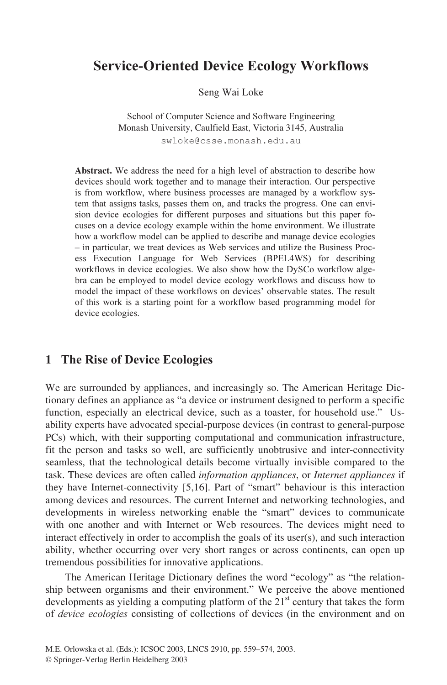# **Service-Oriented Device Ecology Workflows**

Seng Wai Loke

School of Computer Science and Software Engineering Monash University, Caulfield East, Victoria 3145, Australia swloke@csse.monash.edu.au

Abstract. We address the need for a high level of abstraction to describe how devices should work together and to manage their interaction. Our perspective is from workflow, where business processes are managed by a workflow system that assigns tasks, passes them on, and tracks the progress. One can envision device ecologies for different purposes and situations but this paper focuses on a device ecology example within the home environment. We illustrate how a workflow model can be applied to describe and manage device ecologies - in particular, we treat devices as Web services and utilize the Business Process Execution Language for Web Services (BPEL4WS) for describing workflows in device ecologies. We also show how the DySCo workflow algebra can be employed to model device ecology workflows and discuss how to model the impact of these workflows on devices' observable states. The result of this work is a starting point for a workflow based programming model for device ecologies.

### 1 The Rise of Device Ecologies

We are surrounded by appliances, and increasingly so. The American Heritage Dictionary defines an appliance as "a device or instrument designed to perform a specific function, especially an electrical device, such as a toaster, for household use." Usability experts have advocated special-purpose devices (in contrast to general-purpose PCs) which, with their supporting computational and communication infrastructure, fit the person and tasks so well, are sufficiently unobtrusive and inter-connectivity seamless, that the technological details become virtually invisible compared to the task. These devices are often called *information appliances*, or *Internet appliances* if they have Internet-connectivity [5,16]. Part of "smart" behaviour is this interaction among devices and resources. The current Internet and networking technologies, and developments in wireless networking enable the "smart" devices to communicate with one another and with Internet or Web resources. The devices might need to interact effectively in order to accomplish the goals of its user(s), and such interaction ability, whether occurring over very short ranges or across continents, can open up tremendous possibilities for innovative applications.

The American Heritage Dictionary defines the word "ecology" as "the relationship between organisms and their environment." We perceive the above mentioned developments as yielding a computing platform of the  $21<sup>st</sup>$  century that takes the form of device ecologies consisting of collections of devices (in the environment and on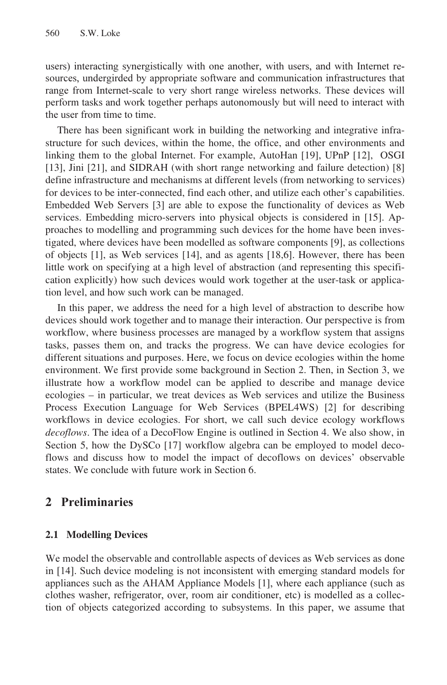users) interacting synergistically with one another, with users, and with Internet resources, undergirded by appropriate software and communication infrastructures that range from Internet-scale to very short range wireless networks. These devices will perform tasks and work together perhaps autonomously but will need to interact with the user from time to time.

There has been significant work in building the networking and integrative infrastructure for such devices, within the home, the office, and other environments and linking them to the global Internet. For example, AutoHan [19], UPnP [12], OSGI [13], Jini [21], and SIDRAH (with short range networking and failure detection) [8] define infrastructure and mechanisms at different levels (from networking to services) for devices to be inter-connected, find each other, and utilize each other's capabilities. Embedded Web Servers [3] are able to expose the functionality of devices as Web services. Embedding micro-servers into physical objects is considered in [15]. Approaches to modelling and programming such devices for the home have been investigated, where devices have been modelled as software components [9], as collections of objects [1], as Web services [14], and as agents [18,6]. However, there has been little work on specifying at a high level of abstraction (and representing this specification explicitly) how such devices would work together at the user-task or application level, and how such work can be managed.

In this paper, we address the need for a high level of abstraction to describe how devices should work together and to manage their interaction. Our perspective is from workflow, where business processes are managed by a workflow system that assigns tasks, passes them on, and tracks the progress. We can have device ecologies for different situations and purposes. Here, we focus on device ecologies within the home environment. We first provide some background in Section 2. Then, in Section 3, we illustrate how a workflow model can be applied to describe and manage device ecologies – in particular, we treat devices as Web services and utilize the Business Process Execution Language for Web Services (BPEL4WS) [2] for describing workflows in device ecologies. For short, we call such device ecology workflows *decoflows*. The idea of a DecoFlow Engine is outlined in Section 4. We also show, in Section 5, how the DySCo [17] workflow algebra can be employed to model decoflows and discuss how to model the impact of decoflows on devices' observable states. We conclude with future work in Section 6.

## 2 Preliminaries

### **2.1 Modelling Devices**

We model the observable and controllable aspects of devices as Web services as done in [14]. Such device modeling is not inconsistent with emerging standard models for appliances such as the AHAM Appliance Models [1], where each appliance (such as clothes washer, refrigerator, over, room air conditioner, etc) is modelled as a collection of objects categorized according to subsystems. In this paper, we assume that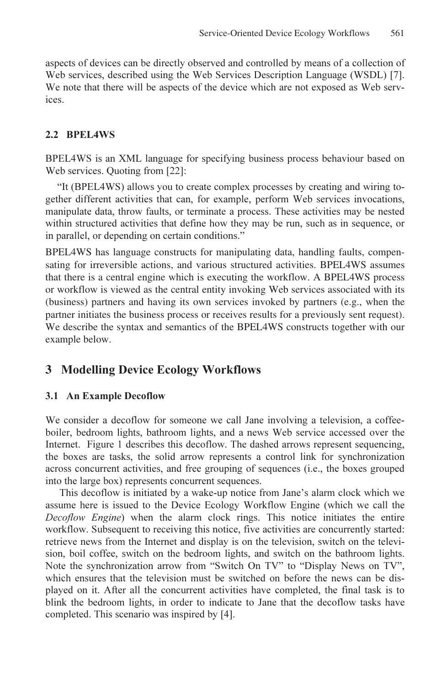aspects of devices can be directly observed and controlled by means of a collection of Web services, described using the Web Services Description Language (WSDL) [7]. We note that there will be aspects of the device which are not exposed as Web services.

### 2.2 **BPEL4WS**

BPEL4WS is an XML language for specifying business process behaviour based on Web services. Quoting from [22]:

"It (BPEL4WS) allows you to create complex processes by creating and wiring together different activities that can, for example, perform Web services invocations, manipulate data, throw faults, or terminate a process. These activities may be nested within structured activities that define how they may be run, such as in sequence, or in parallel, or depending on certain conditions."

BPEL4WS has language constructs for manipulating data, handling faults, compensating for irreversible actions, and various structured activities. BPEL4WS assumes that there is a central engine which is executing the workflow. A BPEL4WS process or workflow is viewed as the central entity invoking Web services associated with its (business) partners and having its own services invoked by partners (e.g., when the partner initiates the business process or receives results for a previously sent request). We describe the syntax and semantics of the BPEL4WS constructs together with our example below.

## 3 Modelling Device Ecology Workflows

### 3.1 An Example Decoflow

We consider a decoflow for someone we call Jane involving a television, a coffeeboiler, bedroom lights, bathroom lights, and a news Web service accessed over the Internet. Figure 1 describes this decoflow. The dashed arrows represent sequencing, the boxes are tasks, the solid arrow represents a control link for synchronization across concurrent activities, and free grouping of sequences (i.e., the boxes grouped into the large box) represents concurrent sequences.

This decoflow is initiated by a wake-up notice from Jane's alarm clock which we assume here is issued to the Device Ecology Workflow Engine (which we call the Decoflow Engine) when the alarm clock rings. This notice initiates the entire workflow. Subsequent to receiving this notice, five activities are concurrently started: retrieve news from the Internet and display is on the television, switch on the television, boil coffee, switch on the bedroom lights, and switch on the bathroom lights. Note the synchronization arrow from "Switch On TV" to "Display News on TV", which ensures that the television must be switched on before the news can be displayed on it. After all the concurrent activities have completed, the final task is to blink the bedroom lights, in order to indicate to Jane that the decoflow tasks have completed. This scenario was inspired by [4].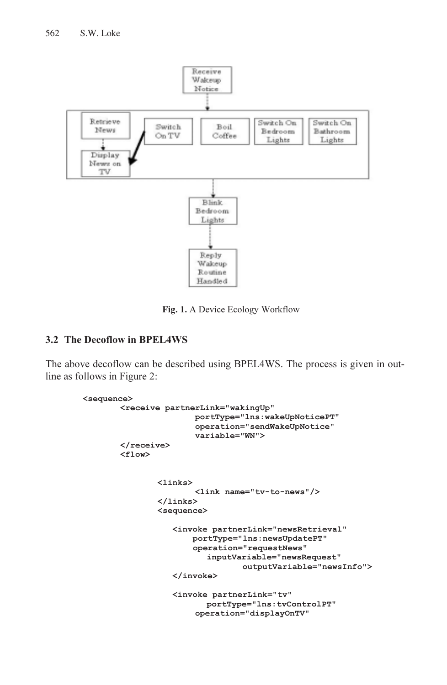

Fig. 1. A Device Ecology Workflow

### 3.2 The Decoflow in BPEL4WS

The above decoflow can be described using BPEL4WS. The process is given in outline as follows in Figure 2:

```
<sequence>
        <receive partnerLink="wakingUp"
                        portType="lns:wakeUpNoticePT"
                        operation="sendWakeUpNotice"
                        variable="WN">
        </receive>
        <flow>
                \langle\text{links}\rangle<link name="tv-to-news"/>
                \langle/links>
                <sequence>
                   <invoke partnerLink="newsRetrieval"
                        portType="lns:newsUpdatePT"
                        operation="requestNews"
                           inputVariable="newsRequest"
                                  outputVariable="newsInfo">
                   </invoke>
                   <invoke partnerLink="tv"
                           portType="lns:tvControlPT"
                        operation="displayOnTV"
```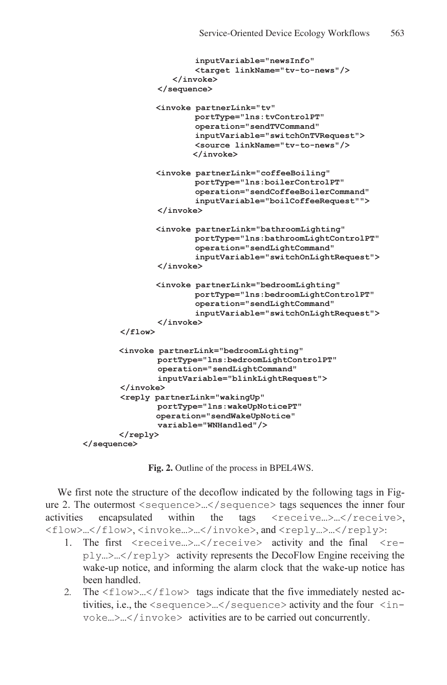```
inputVariable="newsInfo"
                       <target linkName="tv-to-news"/>
                  </invoke>
               </sequence>
               <invoke partnerLink="tv"
                      portType="lns:tvControlPT"
                       operation="sendTVCommand"
                       inputVariable="switchOnTVRequest">
                       <source linkName="tv-to-news"/>
                      </invoke>
               <invoke partnerLink="coffeeBoiling"
                       portType="lns:boilerControlPT"
                       operation="sendCoffeeBoilerCommand"
                       inputVariable="boilCoffeeRequest"">
               </invoke>
               <invoke partnerLink="bathroomLighting"
                      portType="lns:bathroomLightControlPT"
                       operation="sendLightCommand"
                       inputVariable="switchOnLightRequest">
               </invoke>
               <invoke partnerLink="bedroomLighting"
                       portType="lns:bedroomLightControlPT"
                       operation="sendLightCommand"
                       inputVariable="switchOnLightRequest">
               </invoke>
       \langle/flow>
       <invoke partnerLink="bedroomLighting"
               portType="lns:bedroomLightControlPT"
               operation="sendLightCommand"
               inputVariable="blinkLightRequest">
       </invoke>
       <reply partnerLink="wakingUp"
               portType="lns:wakeUpNoticePT"
               operation="sendWakeUpNotice"
               variable="WNHandled"/>
       \langle/reply>
</sequence>
```
Fig. 2. Outline of the process in BPEL4WS.

We first note the structure of the decoflow indicated by the following tags in Figure 2. The outermost <sequence>...</sequence> tags sequences the inner four activities encapsulated within the tags <receive...>...</receive>. <flow>...</flow>,<invoke...>...</invoke>, and <reply...>...</reply>:

- The first <receive...>...</receive> activity and the final <re- $1_{\cdot}$  $p \perp y \ldots > \ldots < r$  ep $\perp y$  activity represents the DecoFlow Engine receiving the wake-up notice, and informing the alarm clock that the wake-up notice has been handled.
- The <flow>...</flow> tags indicate that the five immediately nested ac- $2.$ tivities, i.e., the  $\leq$ sequence $\geq$ ... $\leq$ /sequence $\geq$  activity and the four  $\leq$ invoke...>...</invoke> activities are to be carried out concurrently.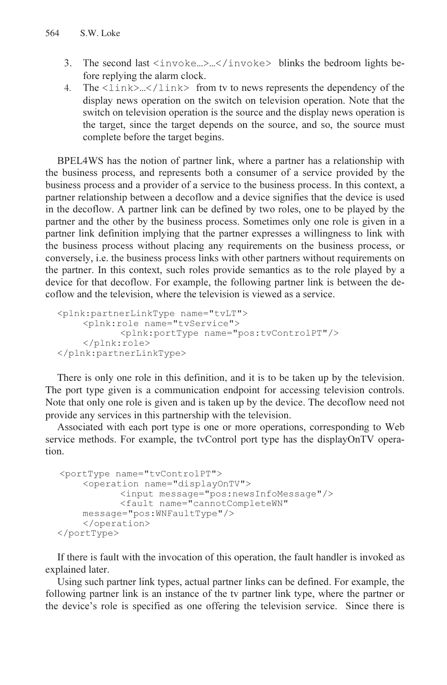- 3. The second last <invoke...>...</invoke> blinks the bedroom lights before replying the alarm clock.
- 4. The <link>...</link> from tv to news represents the dependency of the display news operation on the switch on television operation. Note that the switch on television operation is the source and the display news operation is the target, since the target depends on the source, and so, the source must complete before the target begins.

BPEL4WS has the notion of partner link, where a partner has a relationship with the business process, and represents both a consumer of a service provided by the business process and a provider of a service to the business process. In this context, a partner relationship between a decoflow and a device signifies that the device is used in the decoflow. A partner link can be defined by two roles, one to be played by the partner and the other by the business process. Sometimes only one role is given in a partner link definition implying that the partner expresses a willingness to link with the business process without placing any requirements on the business process, or conversely, i.e. the business process links with other partners without requirements on the partner. In this context, such roles provide semantics as to the role played by a device for that decoflow. For example, the following partner link is between the decoflow and the television, where the television is viewed as a service.

```
<plnk:partnerLinkType name="tvLT">
    <plnk:role name="tvService">
           <plnk:portType name="pos:tvControlPT"/>
    </plnk:role>
</plnk:partnerLinkType>
```
There is only one role in this definition, and it is to be taken up by the television. The port type given is a communication endpoint for accessing television controls. Note that only one role is given and is taken up by the device. The decoflow need not provide any services in this partnership with the television.

Associated with each port type is one or more operations, corresponding to Web service methods. For example, the tvControl port type has the displayOnTV operation.

```
<portType name="tvControlPT">
    <operation name="displayOnTV">
           <input message="pos:newsInfoMessage"/>
           <fault name="cannotCompleteWN"
    message="pos:WNFaultType"/>
    </operation>
</portType>
```
If there is fault with the invocation of this operation, the fault handler is invoked as explained later.

Using such partner link types, actual partner links can be defined. For example, the following partner link is an instance of the tv partner link type, where the partner or the device's role is specified as one offering the television service. Since there is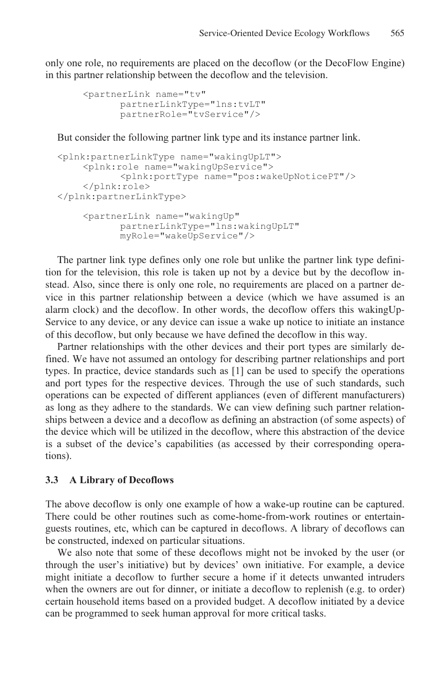only one role, no requirements are placed on the decoflow (or the DecoFlow Engine) in this partner relationship between the decoflow and the television.

```
<partnerLink name="tv"
      partnerLinkType="lns:tvLT"
      partnerRole="tvService"/>
```
But consider the following partner link type and its instance partner link.

```
<plnk:partnerLinkType name="wakingUpLT">
    <plnk:role name="wakingUpService">
           <plnk:portType name="pos:wakeUpNoticePT"/>
    </plnk:role>
</plnk:partnerLinkType>
    <partnerLink name="wakingUp"
           partnerLinkType="lns:wakingUpLT"
           myRole="wakeUpService"/>
```
The partner link type defines only one role but unlike the partner link type definition for the television, this role is taken up not by a device but by the decoflow instead. Also, since there is only one role, no requirements are placed on a partner device in this partner relationship between a device (which we have assumed is an alarm clock) and the decoflow. In other words, the decoflow offers this wakingUp-Service to any device, or any device can issue a wake up notice to initiate an instance of this decoflow, but only because we have defined the decoflow in this way.

Partner relationships with the other devices and their port types are similarly defined. We have not assumed an ontology for describing partner relationships and port types. In practice, device standards such as [1] can be used to specify the operations and port types for the respective devices. Through the use of such standards, such operations can be expected of different appliances (even of different manufacturers) as long as they adhere to the standards. We can view defining such partner relationships between a device and a decoflow as defining an abstraction (of some aspects) of the device which will be utilized in the decoflow, where this abstraction of the device is a subset of the device's capabilities (as accessed by their corresponding operations).

#### 3.3 A Library of Decoflows

The above decoflow is only one example of how a wake-up routine can be captured. There could be other routines such as come-home-from-work routines or entertainguests routines, etc, which can be captured in decoflows. A library of decoflows can be constructed, indexed on particular situations.

We also note that some of these decoflows might not be invoked by the user (or through the user's initiative) but by devices' own initiative. For example, a device might initiate a decoflow to further secure a home if it detects unwanted intruders when the owners are out for dinner, or initiate a decoflow to replenish (e.g. to order) certain household items based on a provided budget. A decoflow initiated by a device can be programmed to seek human approval for more critical tasks.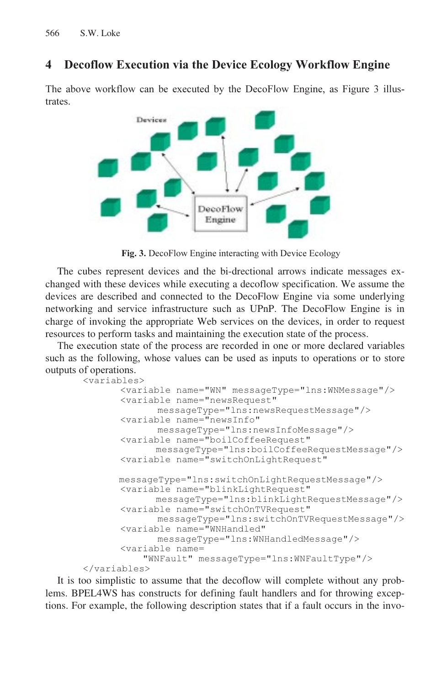## 4 Decoflow Execution via the Device Ecology Workflow Engine

The above workflow can be executed by the DecoFlow Engine, as Figure 3 illustrates.



Fig. 3. DecoFlow Engine interacting with Device Ecology

The cubes represent devices and the bi-drectional arrows indicate messages exchanged with these devices while executing a decoflow specification. We assume the devices are described and connected to the DecoFlow Engine via some underlying networking and service infrastructure such as UPnP. The DecoFlow Engine is in charge of invoking the appropriate Web services on the devices, in order to request resources to perform tasks and maintaining the execution state of the process.

The execution state of the process are recorded in one or more declared variables such as the following, whose values can be used as inputs to operations or to store outputs of operations.

```
\langle \text{variables} \rangle<variable name="WN" messageType="lns:WNMessage"/>
       <variable name="newsRequest"
             messageType="lns:newsRequestMessage"/>
       <variable name="newsInfo"
             messageType="lns:newsInfoMessage"/>
       <variable name="boilCoffeeRequest"
       messageType="lns:boilCoffeeRequestMessage"/>
       <variable name="switchOnLightRequest"
      messageType="lns:switchOnLightRequestMessage"/>
       <variable name="blinkLightRequest"
       messageType="lns:blinkLightRequestMessage"/>
       <variable name="switchOnTVRequest"
             messageType="lns:switchOnTVRequestMessage"/>
       <variable name="WNHandled"
             messageType="lns:WNHandledMessage"/>
       <variable name=
       "WNFault" messageType="lns:WNFaultType"/>
\langle/variables>
```
It is too simplistic to assume that the decoflow will complete without any problems. BPEL4WS has constructs for defining fault handlers and for throwing exceptions. For example, the following description states that if a fault occurs in the invo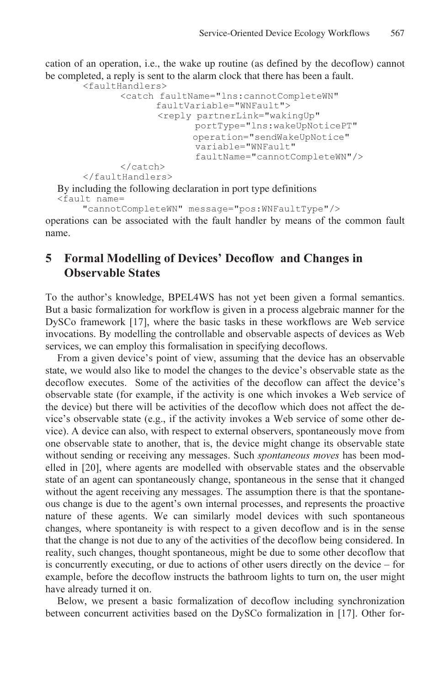cation of an operation, i.e., the wake up routine (as defined by the decoflow) cannot be completed, a reply is sent to the alarm clock that there has been a fault.

```
<faultHandlers>
       <catch faultName="lns: cannotCompleteWN"
             faultVariable="WNFault">
             <reply partnerLink="wakingUp"
                    portType="lns:wakeUpNoticePT"
                    operation="sendWakeUpNotice"
                    variable="WNFault"
                    faultName="cannotCompleteWN"/>
      </catch>
```
</faultHandlers>

By including the following declaration in port type definitions <fault name=

"cannotCompleteWN" message="pos:WNFaultType"/> operations can be associated with the fault handler by means of the common fault name.

## 5 Formal Modelling of Devices' Decoflow and Changes in **Observable States**

To the author's knowledge, BPEL4WS has not yet been given a formal semantics. But a basic formalization for workflow is given in a process algebraic manner for the DySCo framework [17], where the basic tasks in these workflows are Web service invocations. By modelling the controllable and observable aspects of devices as Web services, we can employ this formalisation in specifying decoflows.

From a given device's point of view, assuming that the device has an observable state, we would also like to model the changes to the device's observable state as the decoflow executes. Some of the activities of the decoflow can affect the device's observable state (for example, if the activity is one which invokes a Web service of the device) but there will be activities of the decoflow which does not affect the device's observable state (e.g., if the activity invokes a Web service of some other device). A device can also, with respect to external observers, spontaneously move from one observable state to another, that is, the device might change its observable state without sending or receiving any messages. Such spontaneous moves has been modelled in [20], where agents are modelled with observable states and the observable state of an agent can spontaneously change, spontaneous in the sense that it changed without the agent receiving any messages. The assumption there is that the spontaneous change is due to the agent's own internal processes, and represents the proactive nature of these agents. We can similarly model devices with such spontaneous changes, where spontaneity is with respect to a given decoflow and is in the sense that the change is not due to any of the activities of the decoflow being considered. In reality, such changes, thought spontaneous, might be due to some other decoflow that is concurrently executing, or due to actions of other users directly on the device – for example, before the decoflow instructs the bathroom lights to turn on, the user might have already turned it on.

Below, we present a basic formalization of decoflow including synchronization between concurrent activities based on the DySCo formalization in [17]. Other for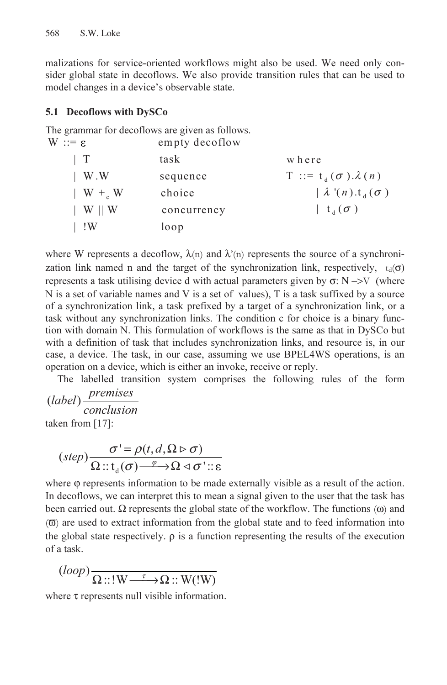malizations for service-oriented workflows might also be used. We need only consider global state in decoflows. We also provide transition rules that can be used to model changes in a device's observable state.

### 5.1 Decoflows with DySCo

The grammar for decoflows are given as follows.  $W ::$ 

| = £              | empty decoriow |                                                             |
|------------------|----------------|-------------------------------------------------------------|
| $\vert$ T        | task           | where                                                       |
| $\vert W.W$      | sequence       | $T ::= t_{d}(\sigma) . \lambda(n)$                          |
| $\mid W +_{c} W$ | choice         | $\lambda'(n)$ , t <sub>d</sub> $(\sigma)$                   |
| $\mid W \mid W$  | concurrency    | $\left  \begin{array}{c} t_{d}(\sigma) \end{array} \right $ |
| $\perp$ !W       | loop           |                                                             |

where W represents a decoflow,  $\lambda(n)$  and  $\lambda'(n)$  represents the source of a synchronization link named n and the target of the synchronization link, respectively,  $t_d(\sigma)$ represents a task utilising device d with actual parameters given by  $\sigma$ : N ->V (where N is a set of variable names and V is a set of values), T is a task suffixed by a source of a synchronization link, a task prefixed by a target of a synchronization link, or a task without any synchronization links. The condition c for choice is a binary function with domain N. This formulation of workflows is the same as that in DySCo but with a definition of task that includes synchronization links, and resource is, in our case, a device. The task, in our case, assuming we use BPEL4WS operations, is an operation on a device, which is either an invoke, receive or reply.

The labelled transition system comprises the following rules of the form

 $(label) \frac{premises}{\cdot}$ taken from  $[17]$ :

$$
(step) \frac{\sigma' = \rho(t, d, \Omega \triangleright \sigma)}{\Omega :: t_d(\sigma) - \rho \rightarrow \Omega \triangleleft \sigma' :: \varepsilon}
$$

where  $\varphi$  represents information to be made externally visible as a result of the action. In decoflows, we can interpret this to mean a signal given to the user that the task has been carried out.  $\Omega$  represents the global state of the workflow. The functions ( $\omega$ ) and  $(\overline{\omega})$  are used to extract information from the global state and to feed information into the global state respectively.  $\rho$  is a function representing the results of the execution of a task

$$
(loop) \frac{}{\Omega::!W \xrightarrow{\tau} \Omega::W(!W)}
$$

where  $\tau$  represents null visible information.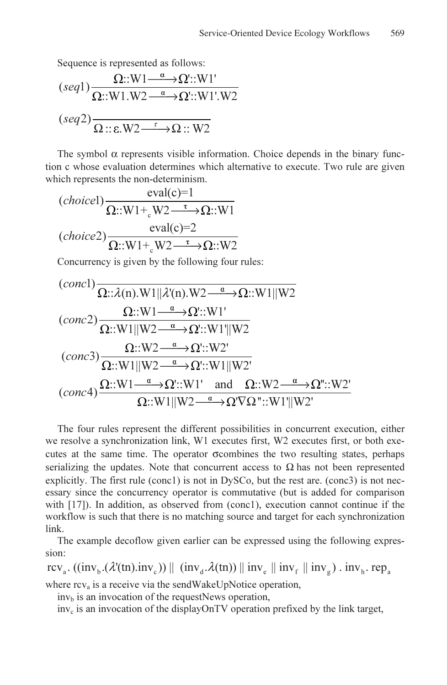Sequence is represented as follows:

$$
(seq1) \frac{\Omega::W1 \stackrel{\alpha}{\longrightarrow} \Omega':W1'}{\Omega::W1.W2 \stackrel{\alpha}{\longrightarrow} \Omega':W1.W2}
$$

$$
(seq2) \frac{\Omega::W1.W2 \stackrel{\alpha}{\longrightarrow} \Omega::W1.W2}{\Omega::\varepsilon.W2 \stackrel{\tau}{\longrightarrow} \Omega::W2}
$$

The symbol  $\alpha$  represents visible information. Choice depends in the binary function c whose evaluation determines which alternative to execute. Two rule are given which represents the non-determinism.

$$
(choice1) \frac{eval(c)=1}{\Omega::W1+_{c}W2-\tau \to \Omega::W1}
$$
  

$$
(choice2) \frac{eval(c)=2}{\Omega::W1+_{c}W2-\tau \to \Omega::W2}
$$

Concurrency is given by the following four rules:

$$
(conc1) \frac{\Omega::\lambda(n).W1||\lambda'(n).W2 \longrightarrow \Omega::W1||W2}{\Omega::W1||W2 \longrightarrow \Omega'::W1'||W2}
$$
  

$$
(conc2) \frac{\Omega::W1 \longrightarrow \Omega'::W1'||W2}{\Omega::W1||W2 \longrightarrow \Omega'::W2'}
$$
  

$$
(conc3) \frac{\Omega::W2 \longrightarrow \Omega'::W2'}{\Omega::W1||W2 \longrightarrow \Omega'::W1||W2'}
$$
  

$$
(conc4) \frac{\Omega::W1 \longrightarrow \Omega'::W1' \quad \text{and} \quad \Omega::W2 \longrightarrow \Omega"::W2'}{\Omega::W1||W2 \longrightarrow \Omega:V\Omega"::W1'||W2'}
$$

The four rules represent the different possibilities in concurrent execution, either we resolve a synchronization link, W1 executes first, W2 executes first, or both executes at the same time. The operator  $\sigma$ combines the two resulting states, perhaps serializing the updates. Note that concurrent access to  $\Omega$  has not been represented explicitly. The first rule (conc1) is not in DySCo, but the rest are. (conc3) is not necessary since the concurrency operator is commutative (but is added for comparison with  $[17]$ ). In addition, as observed from  $(conc1)$ , execution cannot continue if the workflow is such that there is no matching source and target for each synchronization link.

The example decoflow given earlier can be expressed using the following expression:

 $\text{rcv}_a$ .  $((\text{inv}_b.(\lambda'(\text{tn}).\text{inv}_c)) \parallel (\text{inv}_d. \lambda(\text{tn})) \parallel \text{inv}_e \parallel \text{inv}_f \parallel \text{inv}_g)$ .  $\text{inv}_h$ .  $\text{rep}_a$ 

where  $rcv_a$  is a receive via the sendWakeUpNotice operation,

 $inv<sub>b</sub>$  is an invocation of the requestNews operation,

 $inv_c$  is an invocation of the displayOnTV operation prefixed by the link target,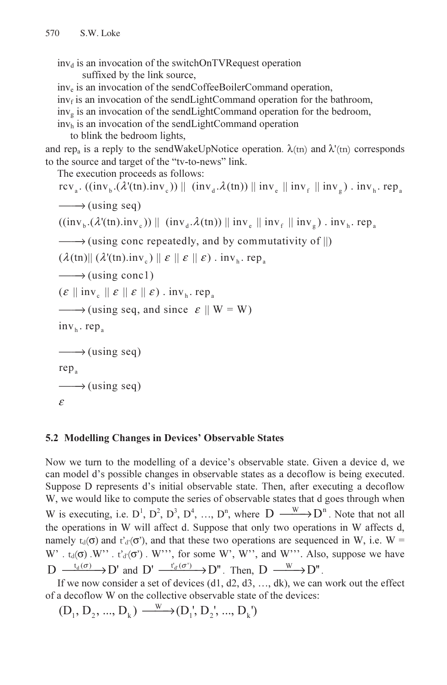$inv_d$  is an invocation of the switchOnTVR equest operation

suffixed by the link source,

inv<sub>e</sub> is an invocation of the sendCoffeeBoilerCommand operation,

 $inv_f$  is an invocation of the sendLightCommand operation for the bathroom,

 $inv_{\alpha}$  is an invocation of the sendLightCommand operation for the bedroom,

```
inv_h is an invocation of the sendLightCommand operation
```
to blink the bedroom lights,

and rep<sub>a</sub> is a reply to the sendWakeUpNotice operation.  $\lambda$ (tn) and  $\lambda'$ (tn) corresponds to the source and target of the "tv-to-news" link.

The execution proceeds as follows:

 $\text{rcv}_a$ .  $((\text{inv}_b \cdot (\lambda'(\text{tn}).\text{inv}_c)) \parallel (\text{inv}_d \cdot \lambda(\text{tn})) \parallel \text{inv}_e \parallel \text{inv}_f \parallel \text{inv}_g)$ .  $\text{inv}_b$ .  $\text{rep}_a$  $\longrightarrow$  (using seq)  $((inv_h.(\lambda'(tn).inv_c)) \parallel (inv_d. \lambda(tn)) \parallel inv_e \parallel inv_f \parallel inv_g)$ .  $inv_h$ . rep<sub>a</sub>  $\longrightarrow$  (using conc repeatedly, and by commutativity of ||)  $(\lambda(\text{tn})|| (\lambda'(\text{tn}).\text{inv}_{c}) || \varepsilon || \varepsilon || \varepsilon)$ . inv<sub>h</sub>. rep<sub>a</sub>  $\longrightarrow$  (using concl)  $(\varepsilon \parallel \text{inv}_{c} \parallel \varepsilon \parallel \varepsilon \parallel \varepsilon)$ . inv<sub>h</sub>. rep<sub>a</sub>  $\longrightarrow$  (using seq, and since  $\varepsilon \parallel W = W$ )  $inv_h$ . rep<sub>a</sub>  $\longrightarrow$  (using seq)  $rep<sub>a</sub>$  $\longrightarrow$  (using seq)  $\mathcal E$ 

### 5.2 Modelling Changes in Devices' Observable States

Now we turn to the modelling of a device's observable state. Given a device d, we can model d's possible changes in observable states as a decoflow is being executed. Suppose D represents d's initial observable state. Then, after executing a decoflow W, we would like to compute the series of observable states that d goes through when W is executing, i.e.  $D^1$ ,  $D^2$ ,  $D^3$ ,  $D^4$ , ...,  $D^n$ , where  $D \xrightarrow{W} D^n$ . Note that not all the operations in W will affect d. Suppose that only two operations in W affects d, namely  $t_d(\sigma)$  and  $t^2_d(\sigma)$ , and that these two operations are sequenced in W, i.e. W = W'.  $t_d(\sigma)$ . W''.  $t_d(\sigma)$ . W''', for some W', W'', and W'''. Also, suppose we have  $D \xrightarrow{t_d(\sigma)} D'$  and  $D' \xrightarrow{t'_d(\sigma')} D''$ . Then,  $D \xrightarrow{W} D''$ .

If we now consider a set of devices  $(d1, d2, d3, ..., dk)$ , we can work out the effect of a decoflow W on the collective observable state of the devices:

 $(D_1, D_2, ..., D_k) \xrightarrow{W} (D_1, D_2, ..., D_k)$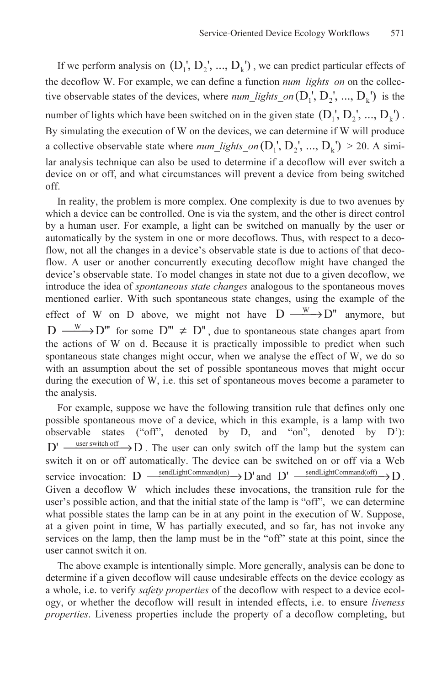If we perform analysis on  $(D_1, D_2, ..., D_k)$ , we can predict particular effects of the decoflow W. For example, we can define a function num lights on on the collective observable states of the devices, where *num\_lights\_on*  $(D_1, D_2, ..., D_k)$  is the number of lights which have been switched on in the given state  $(D_1, D_2, ..., D_k)$ . By simulating the execution of W on the devices, we can determine if W will produce a collective observable state where *num\_lights\_on* ( $D_1$ ,  $D_2$ , ...,  $D_k$ ) > 20. A similar analysis technique can also be used to determine if a decoflow will ever switch a device on or off, and what circumstances will prevent a device from being switched off.

In reality, the problem is more complex. One complexity is due to two avenues by which a device can be controlled. One is via the system, and the other is direct control by a human user. For example, a light can be switched on manually by the user or automatically by the system in one or more decoflows. Thus, with respect to a decoflow, not all the changes in a device's observable state is due to actions of that decoflow. A user or another concurrently executing decoflow might have changed the device's observable state. To model changes in state not due to a given decoflow, we introduce the idea of *spontaneous state changes* analogous to the spontaneous moves mentioned earlier. With such spontaneous state changes, using the example of the effect of W on D above, we might not have  $D \xrightarrow{W} D''$ anymore, but  $D \xrightarrow{W} D^{\prime\prime\prime}$  for some  $D^{\prime\prime\prime} \neq D^{\prime\prime}$ , due to spontaneous state changes apart from the actions of W on d. Because it is practically impossible to predict when such spontaneous state changes might occur, when we analyse the effect of W, we do so with an assumption about the set of possible spontaneous moves that might occur during the execution of W, i.e. this set of spontaneous moves become a parameter to the analysis.

For example, suppose we have the following transition rule that defines only one possible spontaneous move of a device, which in this example, is a lamp with two observable states ("off", denoted by D, and "on", denoted by D'):  $D'$  user switch off  $\rightarrow$  D. The user can only switch off the lamp but the system can switch it on or off automatically. The device can be switched on or off via a Web service invocation:  $D \xrightarrow{\text{sendLightCommand}(on)} D'$  and  $D' \xrightarrow{\text{sendLightCommand}(off)} D$ . Given a decoflow W which includes these invocations, the transition rule for the user's possible action, and that the initial state of the lamp is "off", we can determine what possible states the lamp can be in at any point in the execution of W. Suppose, at a given point in time, W has partially executed, and so far, has not invoke any services on the lamp, then the lamp must be in the "off" state at this point, since the user cannot switch it on.

The above example is intentionally simple. More generally, analysis can be done to determine if a given decoflow will cause undesirable effects on the device ecology as a whole, i.e. to verify *safety properties* of the decoflow with respect to a device ecology, or whether the decoflow will result in intended effects, i.e. to ensure liveness *properties*. Liveness properties include the property of a decoflow completing, but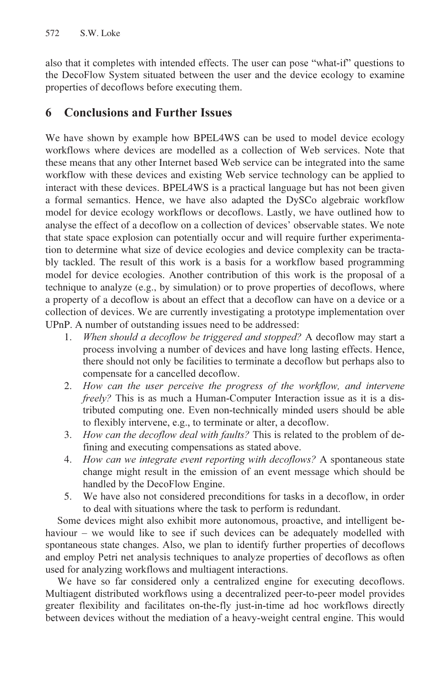also that it completes with intended effects. The user can pose "what-if" questions to the DecoFlow System situated between the user and the device ecology to examine properties of decoflows before executing them.

## 6 Conclusions and Further Issues

We have shown by example how BPEL4WS can be used to model device ecology workflows where devices are modelled as a collection of Web services. Note that these means that any other Internet based Web service can be integrated into the same workflow with these devices and existing Web service technology can be applied to interact with these devices. BPEL4WS is a practical language but has not been given a formal semantics. Hence, we have also adapted the DySCo algebraic workflow model for device ecology workflows or decoflows. Lastly, we have outlined how to analyse the effect of a decoflow on a collection of devices' observable states. We note that state space explosion can potentially occur and will require further experimentation to determine what size of device ecologies and device complexity can be tractably tackled. The result of this work is a basis for a workflow based programming model for device ecologies. Another contribution of this work is the proposal of a technique to analyze (e.g., by simulation) or to prove properties of decoflows, where a property of a decoflow is about an effect that a decoflow can have on a device or a collection of devices. We are currently investigating a prototype implementation over UPnP. A number of outstanding issues need to be addressed:

- 1. When should a decoflow be triggered and stopped? A decoflow may start a process involving a number of devices and have long lasting effects. Hence, there should not only be facilities to terminate a decoflow but perhaps also to compensate for a cancelled decoflow.
- 2. How can the user perceive the progress of the workflow, and intervene freely? This is as much a Human-Computer Interaction issue as it is a distributed computing one. Even non-technically minded users should be able to flexibly intervene, e.g., to terminate or alter, a decoflow.
- 3. How can the decoflow deal with faults? This is related to the problem of defining and executing compensations as stated above.
- 4. How can we integrate event reporting with decoflows? A spontaneous state change might result in the emission of an event message which should be handled by the DecoFlow Engine.
- 5. We have also not considered preconditions for tasks in a decoflow, in order to deal with situations where the task to perform is redundant.

Some devices might also exhibit more autonomous, proactive, and intelligent behaviour – we would like to see if such devices can be adequately modelled with spontaneous state changes. Also, we plan to identify further properties of decoflows and employ Petri net analysis techniques to analyze properties of decoflows as often used for analyzing workflows and multiagent interactions.

We have so far considered only a centralized engine for executing decoflows. Multiagent distributed workflows using a decentralized peer-to-peer model provides greater flexibility and facilitates on-the-fly just-in-time ad hoc workflows directly between devices without the mediation of a heavy-weight central engine. This would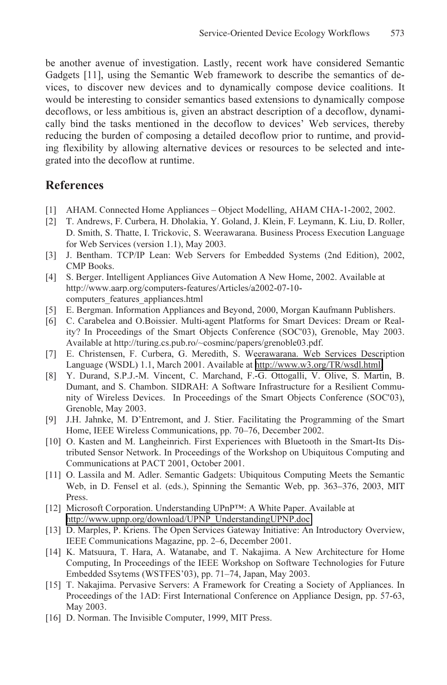be another avenue of investigation. Lastly, recent work have considered Semantic Gadgets [11], using the Semantic Web framework to describe the semantics of devices, to discover new devices and to dynamically compose device coalitions. It would be interesting to consider semantics based extensions to dynamically compose decoflows, or less ambitious is, given an abstract description of a decoflow, dynamically bind the tasks mentioned in the decoflow to devices' Web services, thereby reducing the burden of composing a detailed decoflow prior to runtime, and providing flexibility by allowing alternative devices or resources to be selected and integrated into the decoflow at runtime.

## References

- [1] AHAM. Connected Home Appliances Object Modelling, AHAM CHA-1-2002, 2002.
- [2] T. Andrews, F. Curbera, H. Dholakia, Y. Goland, J. Klein, F. Leymann, K. Liu, D. Roller, D. Smith, S. Thatte, I. Trickovic, S. Weerawarana. Business Process Execution Language for Web Services (version 1.1), May 2003.
- [3] J. Bentham. TCP/IP Lean: Web Servers for Embedded Systems (2nd Edition), 2002, CMP Books.
- [4] S. Berger. Intelligent Appliances Give Automation A New Home, 2002. Available at http://www.aarp.org/computers-features/Articles/a2002-07-10computers\_features\_appliances.html
- [5] E. Bergman. Information Appliances and Beyond, 2000, Morgan Kaufmann Publishers.
- [6] C. Carabelea and O.Boissier. Multi-agent Platforms for Smart Devices: Dream or Reality? In Proceedings of the Smart Objects Conference (SOC'03), Grenoble, May 2003. Available at http://turing.cs.pub.ro/~cosminc/papers/grenoble03.pdf.
- [7] E. Christensen, F. Curbera, G. Meredith, S. Weerawarana. Web Services Description Language (WSDL) 1.1, March 2001. Available at http://www.w3.org/TR/wsdl.html.
- [8] Y. Durand, S.P.J.-M. Vincent, C. Marchand, F.-G. Ottogalli, V. Olive, S. Martin, B. Dumant, and S. Chambon. SIDRAH: A Software Infrastructure for a Resilient Community of Wireless Devices. In Proceedings of the Smart Objects Conference (SOC'03), Grenoble, May 2003.
- [9] J.H. Jahnke, M. D'Entremont, and J. Stier. Facilitating the Programming of the Smart Home, IEEE Wireless Communications, pp. 70–76, December 2002.
- [10] O. Kasten and M. Langheinrich. First Experiences with Bluetooth in the Smart-Its Distributed Sensor Network. In Proceedings of the Workshop on Ubiquitous Computing and Communications at PACT 2001, October 2001.
- [11] O. Lassila and M. Adler. Semantic Gadgets: Ubiquitous Computing Meets the Semantic Web, in D. Fensel et al. (eds.), Spinning the Semantic Web, pp. 363–376, 2003, MIT Press.
- [12] Microsoft Corporation. Understanding UPnP<sup>TM</sup>: A White Paper. Available at http://www.upnp.org/download/UPNP\_UnderstandingUPNP.doc
- [13] D. Marples, P. Kriens. The Open Services Gateway Initiative: An Introductory Overview, IEEE Communications Magazine, pp. 2–6, December 2001.
- [14] K. Matsuura, T. Hara, A. Watanabe, and T. Nakajima. A New Architecture for Home Computing, In Proceedings of the IEEE Workshop on Software Technologies for Future Embedded Ssytems (WSTFES'03), pp. 71-74, Japan, May 2003.
- [15] T. Nakajima. Pervasive Servers: A Framework for Creating a Society of Appliances. In Proceedings of the 1AD: First International Conference on Appliance Design, pp. 57-63, May 2003.
- [16] D. Norman. The Invisible Computer, 1999, MIT Press.